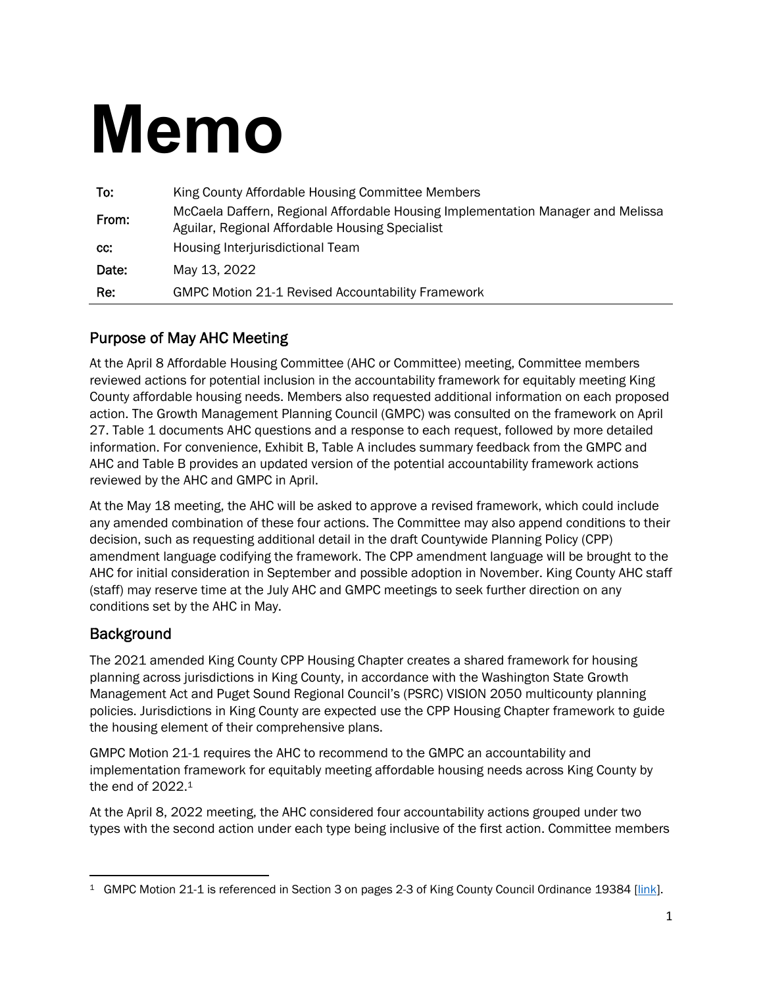# **Memo**

| To:   | King County Affordable Housing Committee Members                                                                                   |
|-------|------------------------------------------------------------------------------------------------------------------------------------|
| From: | McCaela Daffern, Regional Affordable Housing Implementation Manager and Melissa<br>Aguilar, Regional Affordable Housing Specialist |
| CC:   | Housing Interjurisdictional Team                                                                                                   |
| Date: | May 13, 2022                                                                                                                       |
| Re:   | <b>GMPC Motion 21-1 Revised Accountability Framework</b>                                                                           |

#### Purpose of May AHC Meeting

At the April 8 Affordable Housing Committee (AHC or Committee) meeting, Committee members reviewed actions for potential inclusion in the accountability framework for equitably meeting King County affordable housing needs. Members also requested additional information on each proposed action. The Growth Management Planning Council (GMPC) was consulted on the framework on April 27. Table 1 documents AHC questions and a response to each request, followed by more detailed information. For convenience, Exhibit B, Table A includes summary feedback from the GMPC and AHC and Table B provides an updated version of the potential accountability framework actions reviewed by the AHC and GMPC in April.

At the May 18 meeting, the AHC will be asked to approve a revised framework, which could include any amended combination of these four actions. The Committee may also append conditions to their decision, such as requesting additional detail in the draft Countywide Planning Policy (CPP) amendment language codifying the framework. The CPP amendment language will be brought to the AHC for initial consideration in September and possible adoption in November. King County AHC staff (staff) may reserve time at the July AHC and GMPC meetings to seek further direction on any conditions set by the AHC in May.

#### **Background**

The 2021 amended King County CPP Housing Chapter creates a shared framework for housing planning across jurisdictions in King County, in accordance with the Washington State Growth Management Act and Puget Sound Regional Council's (PSRC) VISION 2050 multicounty planning policies. Jurisdictions in King County are expected use the CPP Housing Chapter framework to guide the housing element of their comprehensive plans.

GMPC Motion 21-1 requires the AHC to recommend to the GMPC an accountability and implementation framework for equitably meeting affordable housing needs across King County by the end of 2022.<sup>1</sup>

At the April 8, 2022 meeting, the AHC considered four accountability actions grouped under two types with the second action under each type being inclusive of the first action. Committee members

<sup>&</sup>lt;sup>1</sup> GMPC Motion 21-1 is referenced in Section 3 on pages 2-3 of King County Council Ordinance 19384 [link].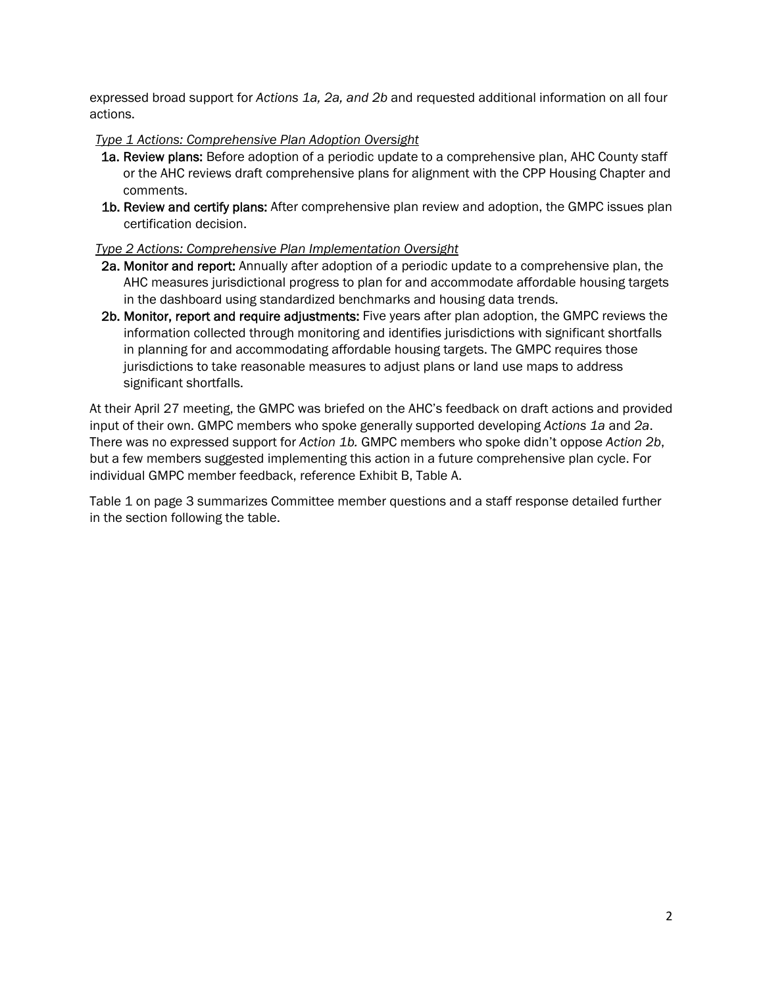expressed broad support for *Actions 1a, 2a, and 2b* and requested additional information on all four actions.

#### *Type 1 Actions: Comprehensive Plan Adoption Oversight*

- 1a. Review plans: Before adoption of a periodic update to a comprehensive plan, AHC County staff or the AHC reviews draft comprehensive plans for alignment with the CPP Housing Chapter and comments.
- 1b. Review and certify plans: After comprehensive plan review and adoption, the GMPC issues plan certification decision.

#### *Type 2 Actions: Comprehensive Plan Implementation Oversight*

- 2a. Monitor and report: Annually after adoption of a periodic update to a comprehensive plan, the AHC measures jurisdictional progress to plan for and accommodate affordable housing targets in the dashboard using standardized benchmarks and housing data trends.
- 2b. Monitor, report and require adjustments: Five years after plan adoption, the GMPC reviews the information collected through monitoring and identifies jurisdictions with significant shortfalls in planning for and accommodating affordable housing targets. The GMPC requires those jurisdictions to take reasonable measures to adjust plans or land use maps to address significant shortfalls.

At their April 27 meeting, the GMPC was briefed on the AHC's feedback on draft actions and provided input of their own. GMPC members who spoke generally supported developing *Actions 1a* and *2a*. There was no expressed support for *Action 1b.* GMPC members who spoke didn't oppose *Action 2b*, but a few members suggested implementing this action in a future comprehensive plan cycle. For individual GMPC member feedback, reference Exhibit B, Table A.

Table 1 on page 3 summarizes Committee member questions and a staff response detailed further in the section following the table.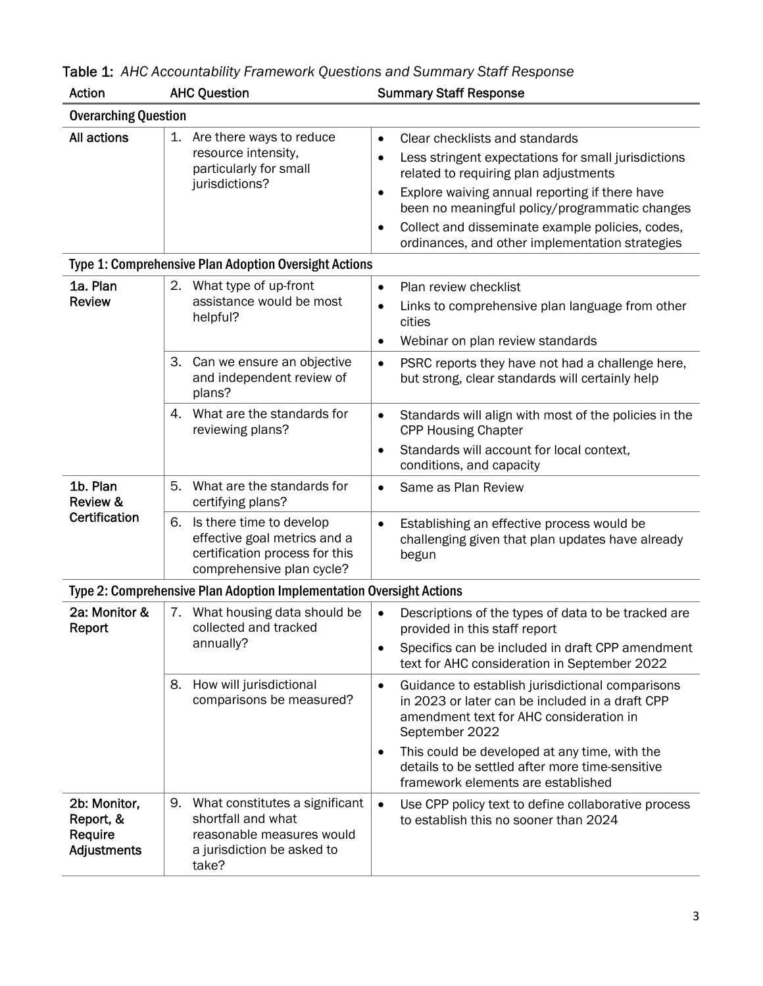| Action                                              | <b>AHC Question</b>                                                                                                           | <b>Summary Staff Response</b>                                                                                                                                                                                                                                                                                                                                                    |  |  |  |
|-----------------------------------------------------|-------------------------------------------------------------------------------------------------------------------------------|----------------------------------------------------------------------------------------------------------------------------------------------------------------------------------------------------------------------------------------------------------------------------------------------------------------------------------------------------------------------------------|--|--|--|
| <b>Overarching Question</b>                         |                                                                                                                               |                                                                                                                                                                                                                                                                                                                                                                                  |  |  |  |
| All actions                                         | 1. Are there ways to reduce<br>resource intensity,<br>particularly for small<br>jurisdictions?                                | Clear checklists and standards<br>$\bullet$<br>Less stringent expectations for small jurisdictions<br>related to requiring plan adjustments<br>Explore waiving annual reporting if there have<br>$\bullet$<br>been no meaningful policy/programmatic changes<br>Collect and disseminate example policies, codes,<br>$\bullet$<br>ordinances, and other implementation strategies |  |  |  |
|                                                     | <b>Type 1: Comprehensive Plan Adoption Oversight Actions</b>                                                                  |                                                                                                                                                                                                                                                                                                                                                                                  |  |  |  |
| 1a. Plan<br><b>Review</b>                           | 2. What type of up-front<br>assistance would be most<br>helpful?                                                              | Plan review checklist<br>$\bullet$<br>Links to comprehensive plan language from other<br>$\bullet$<br>cities<br>Webinar on plan review standards<br>٠                                                                                                                                                                                                                            |  |  |  |
|                                                     | Can we ensure an objective<br>3.<br>and independent review of<br>plans?                                                       | PSRC reports they have not had a challenge here,<br>$\bullet$<br>but strong, clear standards will certainly help                                                                                                                                                                                                                                                                 |  |  |  |
|                                                     | 4. What are the standards for<br>reviewing plans?                                                                             | Standards will align with most of the policies in the<br>$\bullet$<br><b>CPP Housing Chapter</b><br>Standards will account for local context,<br>$\bullet$<br>conditions, and capacity                                                                                                                                                                                           |  |  |  |
| 1b. Plan<br>Review &                                | 5.<br>What are the standards for<br>certifying plans?                                                                         | Same as Plan Review<br>$\bullet$                                                                                                                                                                                                                                                                                                                                                 |  |  |  |
| Certification                                       | Is there time to develop<br>6.<br>effective goal metrics and a<br>certification process for this<br>comprehensive plan cycle? | Establishing an effective process would be<br>$\bullet$<br>challenging given that plan updates have already<br>begun                                                                                                                                                                                                                                                             |  |  |  |
|                                                     | Type 2: Comprehensive Plan Adoption Implementation Oversight Actions                                                          |                                                                                                                                                                                                                                                                                                                                                                                  |  |  |  |
| 2a: Monitor &<br>Report                             | 7. What housing data should be<br>collected and tracked<br>annually?                                                          | Descriptions of the types of data to be tracked are<br>$\bullet$<br>provided in this staff report                                                                                                                                                                                                                                                                                |  |  |  |
|                                                     |                                                                                                                               | Specifics can be included in draft CPP amendment<br>$\bullet$<br>text for AHC consideration in September 2022                                                                                                                                                                                                                                                                    |  |  |  |
|                                                     | How will jurisdictional<br>8.<br>comparisons be measured?                                                                     | Guidance to establish jurisdictional comparisons<br>$\bullet$<br>in 2023 or later can be included in a draft CPP<br>amendment text for AHC consideration in<br>September 2022<br>This could be developed at any time, with the<br>٠<br>details to be settled after more time-sensitive<br>framework elements are established                                                     |  |  |  |
| 2b: Monitor,<br>Report, &<br>Require<br>Adjustments | 9. What constitutes a significant<br>shortfall and what<br>reasonable measures would<br>a jurisdiction be asked to<br>take?   | Use CPP policy text to define collaborative process<br>$\bullet$<br>to establish this no sooner than 2024                                                                                                                                                                                                                                                                        |  |  |  |

| Table 1: AHC Accountability Framework Questions and Summary Staff Response |  |  |  |
|----------------------------------------------------------------------------|--|--|--|
|----------------------------------------------------------------------------|--|--|--|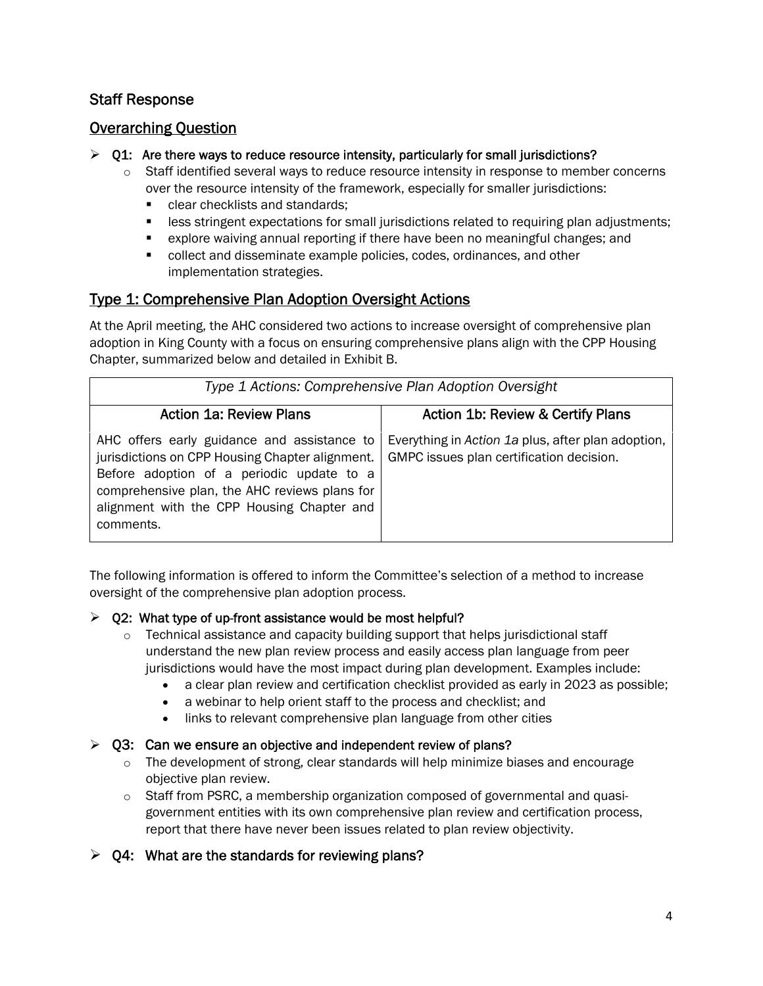#### Staff Response

#### Overarching Question

#### $\triangleright$  Q1: Are there ways to reduce resource intensity, particularly for small jurisdictions?

- $\circ$  Staff identified several ways to reduce resource intensity in response to member concerns over the resource intensity of the framework, especially for smaller jurisdictions:
	- clear checklists and standards;
	- **EXECT** less stringent expectations for small jurisdictions related to requiring plan adjustments;
	- explore waiving annual reporting if there have been no meaningful changes; and
	- collect and disseminate example policies, codes, ordinances, and other implementation strategies.

#### Type 1: Comprehensive Plan Adoption Oversight Actions

At the April meeting, the AHC considered two actions to increase oversight of comprehensive plan adoption in King County with a focus on ensuring comprehensive plans align with the CPP Housing Chapter, summarized below and detailed in Exhibit B.

|                                                                                                                                                                                                                                                         | Type 1 Actions: Comprehensive Plan Adoption Oversight                                          |
|---------------------------------------------------------------------------------------------------------------------------------------------------------------------------------------------------------------------------------------------------------|------------------------------------------------------------------------------------------------|
| <b>Action 1a: Review Plans</b>                                                                                                                                                                                                                          | <b>Action 1b: Review &amp; Certify Plans</b>                                                   |
| AHC offers early guidance and assistance to<br>jurisdictions on CPP Housing Chapter alignment.<br>Before adoption of a periodic update to a<br>comprehensive plan, the AHC reviews plans for<br>alignment with the CPP Housing Chapter and<br>comments. | Everything in Action 1a plus, after plan adoption,<br>GMPC issues plan certification decision. |

The following information is offered to inform the Committee's selection of a method to increase oversight of the comprehensive plan adoption process.

#### $\geq$  02: What type of up-front assistance would be most helpful?

- $\circ$  Technical assistance and capacity building support that helps jurisdictional staff understand the new plan review process and easily access plan language from peer jurisdictions would have the most impact during plan development. Examples include:
	- a clear plan review and certification checklist provided as early in 2023 as possible;
	- a webinar to help orient staff to the process and checklist; and
	- links to relevant comprehensive plan language from other cities

#### $\ge$  Q3: Can we ensure an objective and independent review of plans?

- $\circ$  The development of strong, clear standards will help minimize biases and encourage objective plan review.
- $\circ$  Staff from PSRC, a membership organization composed of governmental and quasigovernment entities with its own comprehensive plan review and certification process, report that there have never been issues related to plan review objectivity.
- $\triangleright$  Q4: What are the standards for reviewing plans?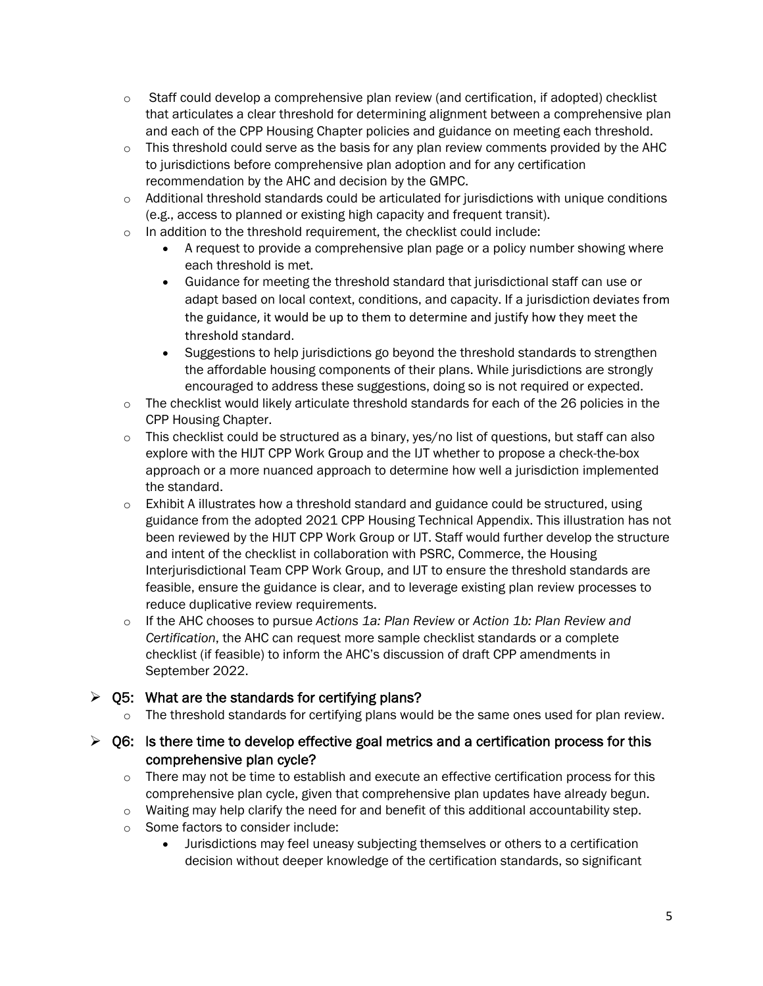- $\circ$  Staff could develop a comprehensive plan review (and certification, if adopted) checklist that articulates a clear threshold for determining alignment between a comprehensive plan and each of the CPP Housing Chapter policies and guidance on meeting each threshold.
- $\circ$  This threshold could serve as the basis for any plan review comments provided by the AHC to jurisdictions before comprehensive plan adoption and for any certification recommendation by the AHC and decision by the GMPC.
- o Additional threshold standards could be articulated for jurisdictions with unique conditions (e.g., access to planned or existing high capacity and frequent transit).
- o In addition to the threshold requirement, the checklist could include:
	- A request to provide a comprehensive plan page or a policy number showing where each threshold is met.
	- Guidance for meeting the threshold standard that jurisdictional staff can use or adapt based on local context, conditions, and capacity. If a jurisdiction deviates from the guidance, it would be up to them to determine and justify how they meet the threshold standard.
	- Suggestions to help jurisdictions go beyond the threshold standards to strengthen the affordable housing components of their plans. While jurisdictions are strongly encouraged to address these suggestions, doing so is not required or expected.
- o The checklist would likely articulate threshold standards for each of the 26 policies in the CPP Housing Chapter.
- $\circ$  This checklist could be structured as a binary, yes/no list of questions, but staff can also explore with the HIJT CPP Work Group and the IJT whether to propose a check-the-box approach or a more nuanced approach to determine how well a jurisdiction implemented the standard.
- $\circ$  Exhibit A illustrates how a threshold standard and guidance could be structured, using guidance from the adopted 2021 CPP Housing Technical Appendix. This illustration has not been reviewed by the HIJT CPP Work Group or IJT. Staff would further develop the structure and intent of the checklist in collaboration with PSRC, Commerce, the Housing Interjurisdictional Team CPP Work Group, and IJT to ensure the threshold standards are feasible, ensure the guidance is clear, and to leverage existing plan review processes to reduce duplicative review requirements.
- o If the AHC chooses to pursue *Actions 1a: Plan Review* or *Action 1b: Plan Review and Certification*, the AHC can request more sample checklist standards or a complete checklist (if feasible) to inform the AHC's discussion of draft CPP amendments in September 2022.

#### $\ge$  Q5: What are the standards for certifying plans?

 $\circ$  The threshold standards for certifying plans would be the same ones used for plan review.

#### $\triangleright$  Q6: Is there time to develop effective goal metrics and a certification process for this comprehensive plan cycle?

- $\circ$  There may not be time to establish and execute an effective certification process for this comprehensive plan cycle, given that comprehensive plan updates have already begun.
- $\circ$  Waiting may help clarify the need for and benefit of this additional accountability step.
- o Some factors to consider include:
	- Jurisdictions may feel uneasy subjecting themselves or others to a certification decision without deeper knowledge of the certification standards, so significant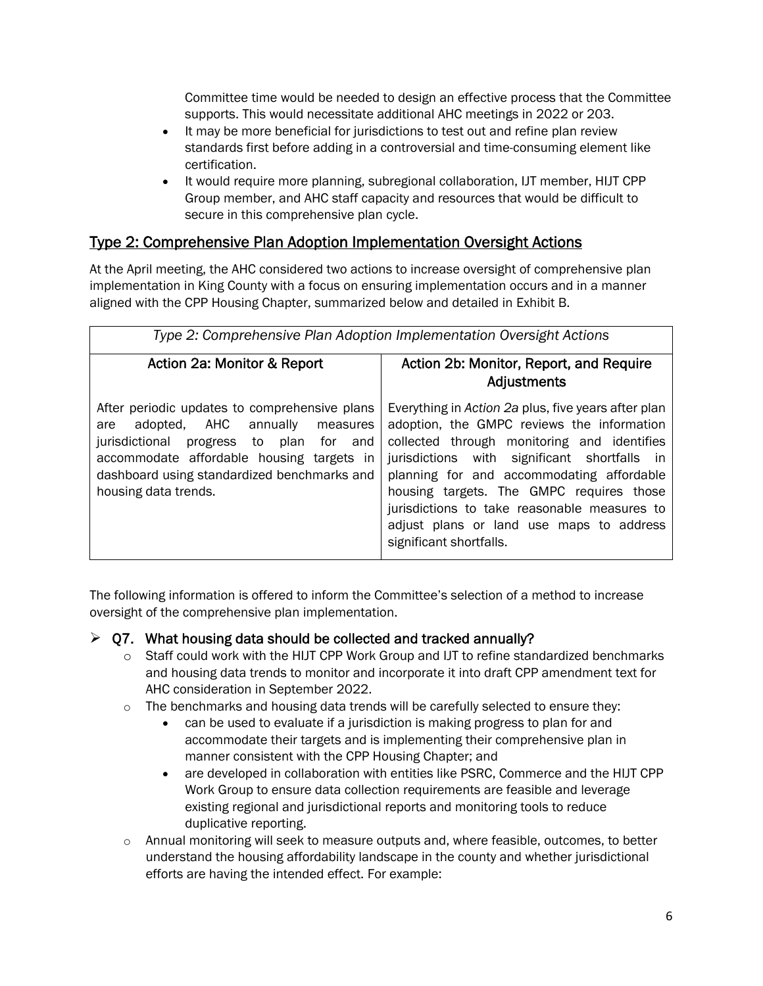Committee time would be needed to design an effective process that the Committee supports. This would necessitate additional AHC meetings in 2022 or 203.

- It may be more beneficial for jurisdictions to test out and refine plan review standards first before adding in a controversial and time-consuming element like certification.
- It would require more planning, subregional collaboration, IJT member, HIJT CPP Group member, and AHC staff capacity and resources that would be difficult to secure in this comprehensive plan cycle.

#### Type 2: Comprehensive Plan Adoption Implementation Oversight Actions

At the April meeting, the AHC considered two actions to increase oversight of comprehensive plan implementation in King County with a focus on ensuring implementation occurs and in a manner aligned with the CPP Housing Chapter, summarized below and detailed in Exhibit B.

| Type 2: Comprehensive Plan Adoption Implementation Oversight Actions                                                                                                                                                                                        |                                                                                                                                                                                                                                                                                                                                                                                                                  |  |
|-------------------------------------------------------------------------------------------------------------------------------------------------------------------------------------------------------------------------------------------------------------|------------------------------------------------------------------------------------------------------------------------------------------------------------------------------------------------------------------------------------------------------------------------------------------------------------------------------------------------------------------------------------------------------------------|--|
| Action 2a: Monitor & Report                                                                                                                                                                                                                                 | Action 2b: Monitor, Report, and Require<br><b>Adjustments</b>                                                                                                                                                                                                                                                                                                                                                    |  |
| After periodic updates to comprehensive plans<br>adopted, AHC annually<br>measures<br>are<br>jurisdictional<br>progress to plan for and<br>accommodate affordable housing targets in<br>dashboard using standardized benchmarks and<br>housing data trends. | Everything in Action 2a plus, five years after plan<br>adoption, the GMPC reviews the information<br>collected through monitoring and identifies<br>jurisdictions with significant shortfalls in<br>planning for and accommodating affordable<br>housing targets. The GMPC requires those<br>jurisdictions to take reasonable measures to<br>adjust plans or land use maps to address<br>significant shortfalls. |  |

The following information is offered to inform the Committee's selection of a method to increase oversight of the comprehensive plan implementation.

#### $\geq$  07. What housing data should be collected and tracked annually?

- $\circ$  Staff could work with the HIJT CPP Work Group and IJT to refine standardized benchmarks and housing data trends to monitor and incorporate it into draft CPP amendment text for AHC consideration in September 2022.
- $\circ$  The benchmarks and housing data trends will be carefully selected to ensure they:
	- can be used to evaluate if a jurisdiction is making progress to plan for and accommodate their targets and is implementing their comprehensive plan in manner consistent with the CPP Housing Chapter; and
	- are developed in collaboration with entities like PSRC, Commerce and the HIJT CPP Work Group to ensure data collection requirements are feasible and leverage existing regional and jurisdictional reports and monitoring tools to reduce duplicative reporting.
- $\circ$  Annual monitoring will seek to measure outputs and, where feasible, outcomes, to better understand the housing affordability landscape in the county and whether jurisdictional efforts are having the intended effect. For example: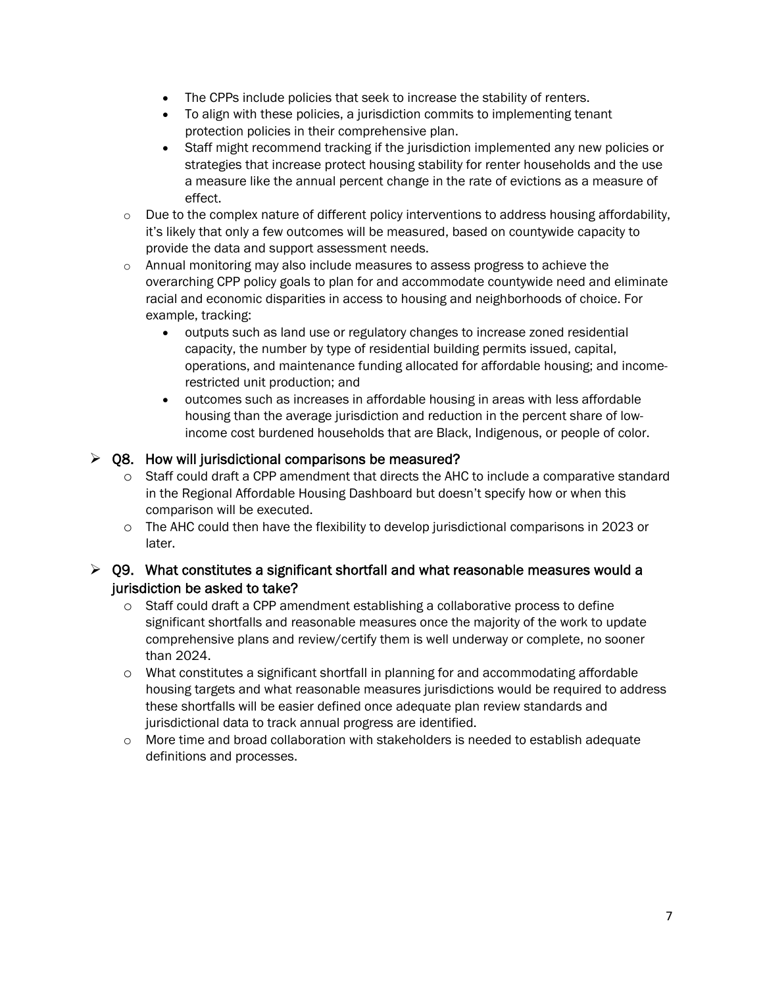- The CPPs include policies that seek to increase the stability of renters.
- To align with these policies, a jurisdiction commits to implementing tenant protection policies in their comprehensive plan.
- Staff might recommend tracking if the jurisdiction implemented any new policies or strategies that increase protect housing stability for renter households and the use a measure like the annual percent change in the rate of evictions as a measure of effect.
- $\circ$  Due to the complex nature of different policy interventions to address housing affordability, it's likely that only a few outcomes will be measured, based on countywide capacity to provide the data and support assessment needs.
- $\circ$  Annual monitoring may also include measures to assess progress to achieve the overarching CPP policy goals to plan for and accommodate countywide need and eliminate racial and economic disparities in access to housing and neighborhoods of choice. For example, tracking:
	- outputs such as land use or regulatory changes to increase zoned residential capacity, the number by type of residential building permits issued, capital, operations, and maintenance funding allocated for affordable housing; and incomerestricted unit production; and
	- outcomes such as increases in affordable housing in areas with less affordable housing than the average jurisdiction and reduction in the percent share of lowincome cost burdened households that are Black, Indigenous, or people of color.

#### $\geq$  Q8. How will jurisdictional comparisons be measured?

- o Staff could draft a CPP amendment that directs the AHC to include a comparative standard in the Regional Affordable Housing Dashboard but doesn't specify how or when this comparison will be executed.
- o The AHC could then have the flexibility to develop jurisdictional comparisons in 2023 or later.

#### $\triangleright$  Q9. What constitutes a significant shortfall and what reasonable measures would a jurisdiction be asked to take?

- $\circ$  Staff could draft a CPP amendment establishing a collaborative process to define significant shortfalls and reasonable measures once the majority of the work to update comprehensive plans and review/certify them is well underway or complete, no sooner than 2024.
- $\circ$  What constitutes a significant shortfall in planning for and accommodating affordable housing targets and what reasonable measures jurisdictions would be required to address these shortfalls will be easier defined once adequate plan review standards and jurisdictional data to track annual progress are identified.
- $\circ$  More time and broad collaboration with stakeholders is needed to establish adequate definitions and processes.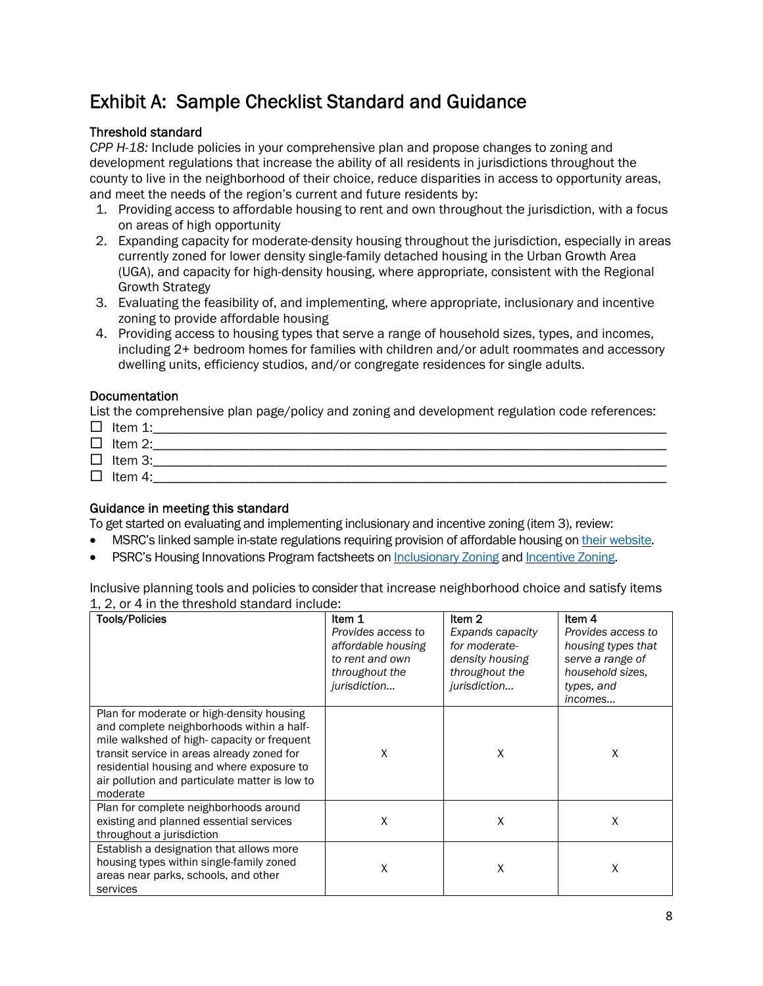## Exhibit A: Sample Checklist Standard and Guidance

#### Threshold standard

*CPP H-18:* Include policies in your comprehensive plan and propose changes to zoning and development regulations that increase the ability of all residents in jurisdictions throughout the county to live in the neighborhood of their choice, reduce disparities in access to opportunity areas, and meet the needs of the region's current and future residents by:

- 1. Providing access to affordable housing to rent and own throughout the jurisdiction, with a focus on areas of high opportunity
- 2. Expanding capacity for moderate-density housing throughout the jurisdiction, especially in areas currently zoned for lower density single-family detached housing in the Urban Growth Area (UGA), and capacity for high-density housing, where appropriate, consistent with the Regional Growth Strategy
- 3. Evaluating the feasibility of, and implementing, where appropriate, inclusionary and incentive zoning to provide affordable housing
- 4. Providing access to housing types that serve a range of household sizes, types, and incomes, including 2+ bedroom homes for families with children and/or adult roommates and accessory dwelling units, efficiency studios, and/or congregate residences for single adults.

#### Documentation

List the comprehensive plan page/policy and zoning and development regulation code references:

 Item 1:\_\_\_\_\_\_\_\_\_\_\_\_\_\_\_\_\_\_\_\_\_\_\_\_\_\_\_\_\_\_\_\_\_\_\_\_\_\_\_\_\_\_\_\_\_\_\_\_\_\_\_\_\_\_\_\_\_\_\_\_\_\_\_\_\_\_\_\_\_\_\_\_\_\_\_ Item 2:\_\_\_\_\_\_\_\_\_\_\_\_\_\_\_\_\_\_\_\_\_\_\_\_\_\_\_\_\_\_\_\_\_\_\_\_\_\_\_\_\_\_\_\_\_\_\_\_\_\_\_\_\_\_\_\_\_\_\_\_\_\_\_\_\_\_\_\_\_\_\_\_\_\_\_  $\Box$  Item 3:  $\Box$  Item 4:

#### Guidance in meeting this standard

To get started on evaluating and implementing inclusionary and incentive zoning (item 3), review:

- MSRC's linked sample in-state regulations requiring provision of affordable housing on their website.
- PSRC's Housing Innovations Program factsheets on Inclusionary Zoning and Incentive Zoning.

Inclusive planning tools and policies to consider that increase neighborhood choice and satisfy items 1, 2, or 4 in the threshold standard include:

| <b>Tools/Policies</b>                                                                                                                                                                                                                                                                         | Item 1<br>Provides access to<br>affordable housing<br>to rent and own<br>throughout the<br>jurisdiction | Item <sub>2</sub><br>Expands capacity<br>for moderate-<br>density housing<br>throughout the<br>jurisdiction | Item 4<br>Provides access to<br>housing types that<br>serve a range of<br>household sizes.<br>types, and<br>incomes |
|-----------------------------------------------------------------------------------------------------------------------------------------------------------------------------------------------------------------------------------------------------------------------------------------------|---------------------------------------------------------------------------------------------------------|-------------------------------------------------------------------------------------------------------------|---------------------------------------------------------------------------------------------------------------------|
| Plan for moderate or high-density housing<br>and complete neighborhoods within a half-<br>mile walkshed of high-capacity or frequent<br>transit service in areas already zoned for<br>residential housing and where exposure to<br>air pollution and particulate matter is low to<br>moderate | X                                                                                                       | X                                                                                                           | X                                                                                                                   |
| Plan for complete neighborhoods around<br>existing and planned essential services<br>throughout a jurisdiction                                                                                                                                                                                | X                                                                                                       | X                                                                                                           | Χ                                                                                                                   |
| Establish a designation that allows more<br>housing types within single-family zoned<br>areas near parks, schools, and other<br>services                                                                                                                                                      | Χ                                                                                                       | Χ                                                                                                           | Χ                                                                                                                   |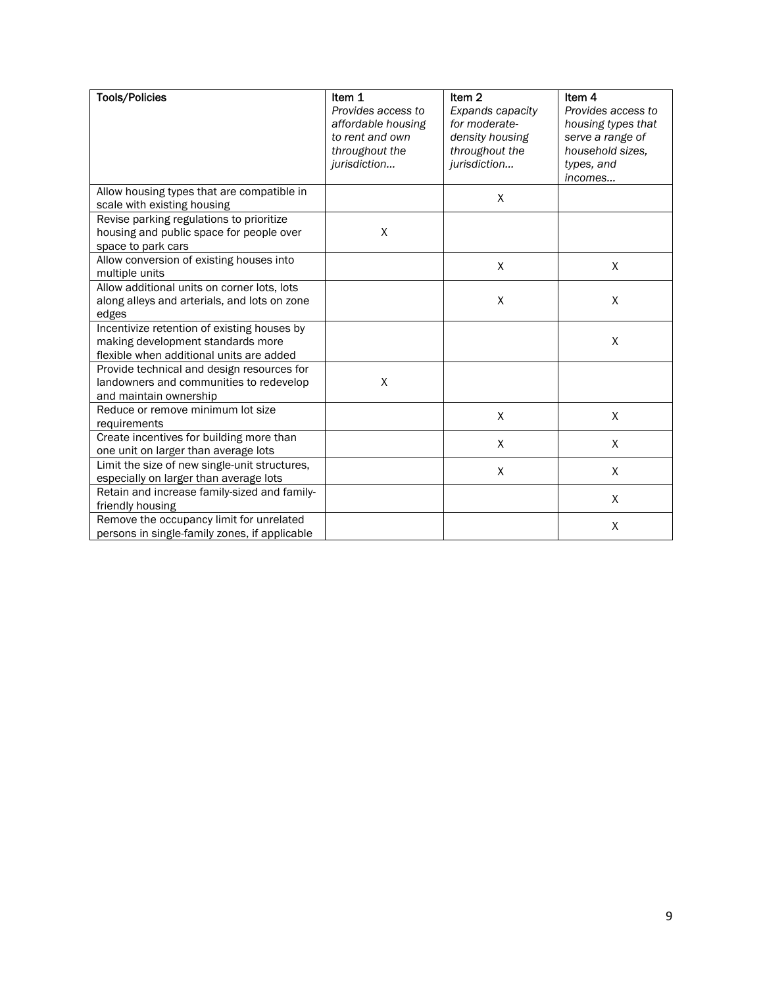| <b>Tools/Policies</b>                                                                                                        | Item 1<br>Provides access to<br>affordable housing<br>to rent and own<br>throughout the<br>jurisdiction | Item <sub>2</sub><br>Expands capacity<br>for moderate-<br>density housing<br>throughout the<br>jurisdiction | Item 4<br>Provides access to<br>housing types that<br>serve a range of<br>household sizes,<br>types, and |
|------------------------------------------------------------------------------------------------------------------------------|---------------------------------------------------------------------------------------------------------|-------------------------------------------------------------------------------------------------------------|----------------------------------------------------------------------------------------------------------|
|                                                                                                                              |                                                                                                         |                                                                                                             | incomes                                                                                                  |
| Allow housing types that are compatible in<br>scale with existing housing                                                    |                                                                                                         | X                                                                                                           |                                                                                                          |
| Revise parking regulations to prioritize<br>housing and public space for people over<br>space to park cars                   | X                                                                                                       |                                                                                                             |                                                                                                          |
| Allow conversion of existing houses into<br>multiple units                                                                   |                                                                                                         | X                                                                                                           | X                                                                                                        |
| Allow additional units on corner lots, lots<br>along alleys and arterials, and lots on zone<br>edges                         |                                                                                                         | X                                                                                                           | X                                                                                                        |
| Incentivize retention of existing houses by<br>making development standards more<br>flexible when additional units are added |                                                                                                         |                                                                                                             | X                                                                                                        |
| Provide technical and design resources for<br>landowners and communities to redevelop<br>and maintain ownership              | $\pmb{\mathsf{X}}$                                                                                      |                                                                                                             |                                                                                                          |
| Reduce or remove minimum lot size<br>requirements                                                                            |                                                                                                         | X                                                                                                           | $\mathsf X$                                                                                              |
| Create incentives for building more than<br>one unit on larger than average lots                                             |                                                                                                         | X                                                                                                           | X                                                                                                        |
| Limit the size of new single-unit structures,<br>especially on larger than average lots                                      |                                                                                                         | X                                                                                                           | X                                                                                                        |
| Retain and increase family-sized and family-<br>friendly housing                                                             |                                                                                                         |                                                                                                             | X                                                                                                        |
| Remove the occupancy limit for unrelated<br>persons in single-family zones, if applicable                                    |                                                                                                         |                                                                                                             | X                                                                                                        |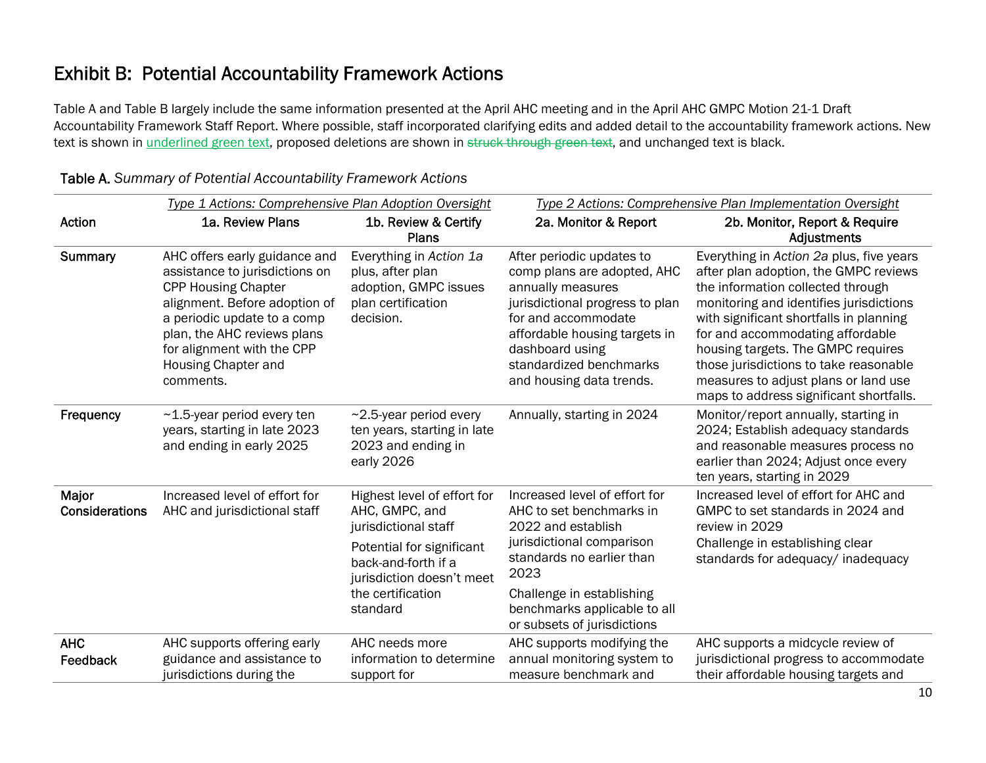### Exhibit B: Potential Accountability Framework Actions

Table A and Table B largely include the same information presented at the April AHC meeting and in the April AHC GMPC Motion 21-1 Draft Accountability Framework Staff Report. Where possible, staff incorporated clarifying edits and added detail to the accountability framework actions. New text is shown in underlined green text, proposed deletions are shown in struck through green text, and unchanged text is black.

| Type 1 Actions: Comprehensive Plan Adoption Oversight |                                                                                                                                                                                                                                                                | Type 2 Actions: Comprehensive Plan Implementation Oversight                                                    |                                                                                                                                                                                                                                                    |                                                                                                                                                                                                                                                                                                                                                                                                                     |
|-------------------------------------------------------|----------------------------------------------------------------------------------------------------------------------------------------------------------------------------------------------------------------------------------------------------------------|----------------------------------------------------------------------------------------------------------------|----------------------------------------------------------------------------------------------------------------------------------------------------------------------------------------------------------------------------------------------------|---------------------------------------------------------------------------------------------------------------------------------------------------------------------------------------------------------------------------------------------------------------------------------------------------------------------------------------------------------------------------------------------------------------------|
| Action                                                | 1a. Review Plans                                                                                                                                                                                                                                               | 1b. Review & Certify<br><b>Plans</b>                                                                           | 2a. Monitor & Report                                                                                                                                                                                                                               | 2b. Monitor, Report & Require<br>Adjustments                                                                                                                                                                                                                                                                                                                                                                        |
| <b>Summary</b>                                        | AHC offers early guidance and<br>assistance to jurisdictions on<br><b>CPP Housing Chapter</b><br>alignment. Before adoption of<br>a periodic update to a comp<br>plan, the AHC reviews plans<br>for alignment with the CPP<br>Housing Chapter and<br>comments. | Everything in Action 1a<br>plus, after plan<br>adoption, GMPC issues<br>plan certification<br>decision.        | After periodic updates to<br>comp plans are adopted, AHC<br>annually measures<br>jurisdictional progress to plan<br>for and accommodate<br>affordable housing targets in<br>dashboard using<br>standardized benchmarks<br>and housing data trends. | Everything in Action 2a plus, five years<br>after plan adoption, the GMPC reviews<br>the information collected through<br>monitoring and identifies jurisdictions<br>with significant shortfalls in planning<br>for and accommodating affordable<br>housing targets. The GMPC requires<br>those jurisdictions to take reasonable<br>measures to adjust plans or land use<br>maps to address significant shortfalls. |
| Frequency                                             | $~1.5$ -year period every ten<br>years, starting in late 2023<br>and ending in early 2025                                                                                                                                                                      | ~2.5-year period every<br>ten years, starting in late<br>2023 and ending in<br>early 2026                      | Annually, starting in 2024                                                                                                                                                                                                                         | Monitor/report annually, starting in<br>2024; Establish adequacy standards<br>and reasonable measures process no<br>earlier than 2024; Adjust once every<br>ten years, starting in 2029                                                                                                                                                                                                                             |
| Major<br>Considerations                               | Increased level of effort for<br>AHC and jurisdictional staff                                                                                                                                                                                                  | Highest level of effort for<br>AHC, GMPC, and<br>jurisdictional staff                                          | Increased level of effort for<br>AHC to set benchmarks in<br>2022 and establish<br>review in 2029                                                                                                                                                  | Increased level of effort for AHC and<br>GMPC to set standards in 2024 and                                                                                                                                                                                                                                                                                                                                          |
|                                                       |                                                                                                                                                                                                                                                                | Potential for significant<br>back-and-forth if a<br>jurisdiction doesn't meet<br>the certification<br>standard | jurisdictional comparison<br>standards no earlier than<br>2023                                                                                                                                                                                     | Challenge in establishing clear<br>standards for adequacy/ inadequacy                                                                                                                                                                                                                                                                                                                                               |
|                                                       |                                                                                                                                                                                                                                                                |                                                                                                                | Challenge in establishing<br>benchmarks applicable to all<br>or subsets of jurisdictions                                                                                                                                                           |                                                                                                                                                                                                                                                                                                                                                                                                                     |
| <b>AHC</b><br>Feedback                                | AHC supports offering early<br>guidance and assistance to<br>jurisdictions during the                                                                                                                                                                          | AHC needs more<br>information to determine<br>support for                                                      | AHC supports modifying the<br>annual monitoring system to<br>measure benchmark and                                                                                                                                                                 | AHC supports a midcycle review of<br>jurisdictional progress to accommodate<br>their affordable housing targets and                                                                                                                                                                                                                                                                                                 |

#### Table A. *Summary of Potential Accountability Framework Actions*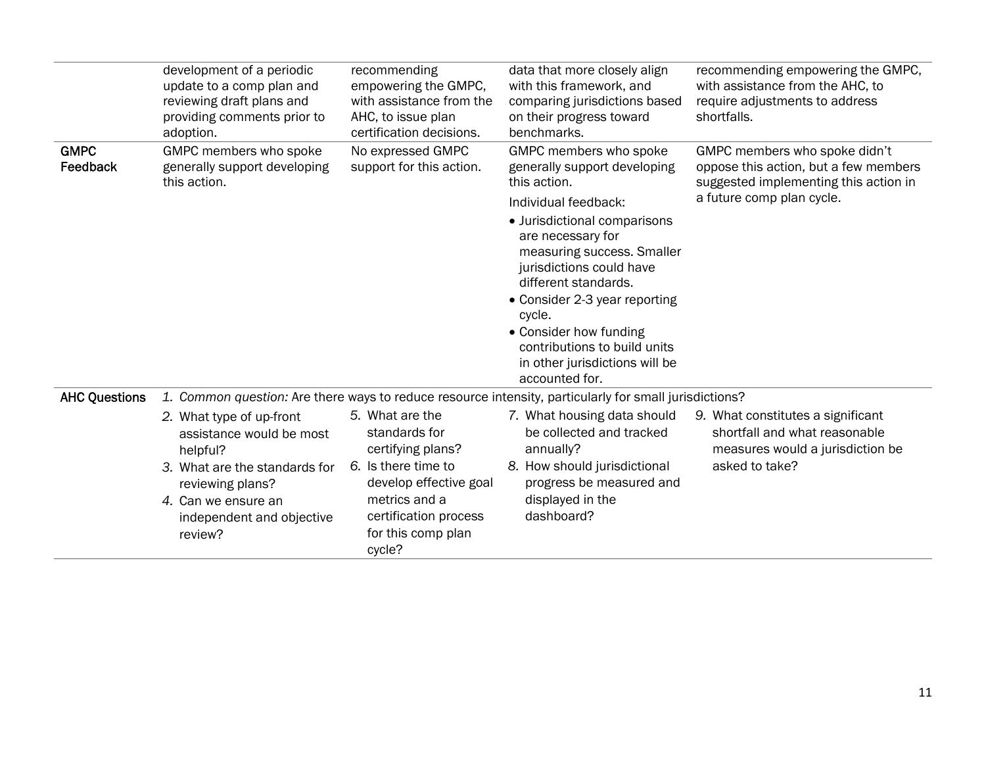|                         | development of a periodic<br>update to a comp plan and<br>reviewing draft plans and<br>providing comments prior to<br>adoption.                                                      | recommending<br>empowering the GMPC,<br>with assistance from the<br>AHC, to issue plan<br>certification decisions.                                                               | data that more closely align<br>with this framework, and<br>comparing jurisdictions based<br>on their progress toward<br>benchmarks.                                                                                                                                                                                                                                                           | recommending empowering the GMPC,<br>with assistance from the AHC, to<br>require adjustments to address<br>shortfalls.                       |
|-------------------------|--------------------------------------------------------------------------------------------------------------------------------------------------------------------------------------|----------------------------------------------------------------------------------------------------------------------------------------------------------------------------------|------------------------------------------------------------------------------------------------------------------------------------------------------------------------------------------------------------------------------------------------------------------------------------------------------------------------------------------------------------------------------------------------|----------------------------------------------------------------------------------------------------------------------------------------------|
| <b>GMPC</b><br>Feedback | GMPC members who spoke<br>generally support developing<br>this action.                                                                                                               | No expressed GMPC<br>support for this action.                                                                                                                                    | GMPC members who spoke<br>generally support developing<br>this action.<br>Individual feedback:<br>• Jurisdictional comparisons<br>are necessary for<br>measuring success. Smaller<br>jurisdictions could have<br>different standards.<br>• Consider 2-3 year reporting<br>cycle.<br>• Consider how funding<br>contributions to build units<br>in other jurisdictions will be<br>accounted for. | GMPC members who spoke didn't<br>oppose this action, but a few members<br>suggested implementing this action in<br>a future comp plan cycle. |
| <b>AHC Questions</b>    |                                                                                                                                                                                      |                                                                                                                                                                                  | 1. Common question: Are there ways to reduce resource intensity, particularly for small jurisdictions?                                                                                                                                                                                                                                                                                         |                                                                                                                                              |
|                         | 2. What type of up-front<br>assistance would be most<br>helpful?<br>3. What are the standards for<br>reviewing plans?<br>4. Can we ensure an<br>independent and objective<br>review? | 5. What are the<br>standards for<br>certifying plans?<br>6. Is there time to<br>develop effective goal<br>metrics and a<br>certification process<br>for this comp plan<br>cycle? | 7. What housing data should<br>be collected and tracked<br>annually?<br>8. How should jurisdictional<br>progress be measured and<br>displayed in the<br>dashboard?                                                                                                                                                                                                                             | 9. What constitutes a significant<br>shortfall and what reasonable<br>measures would a jurisdiction be<br>asked to take?                     |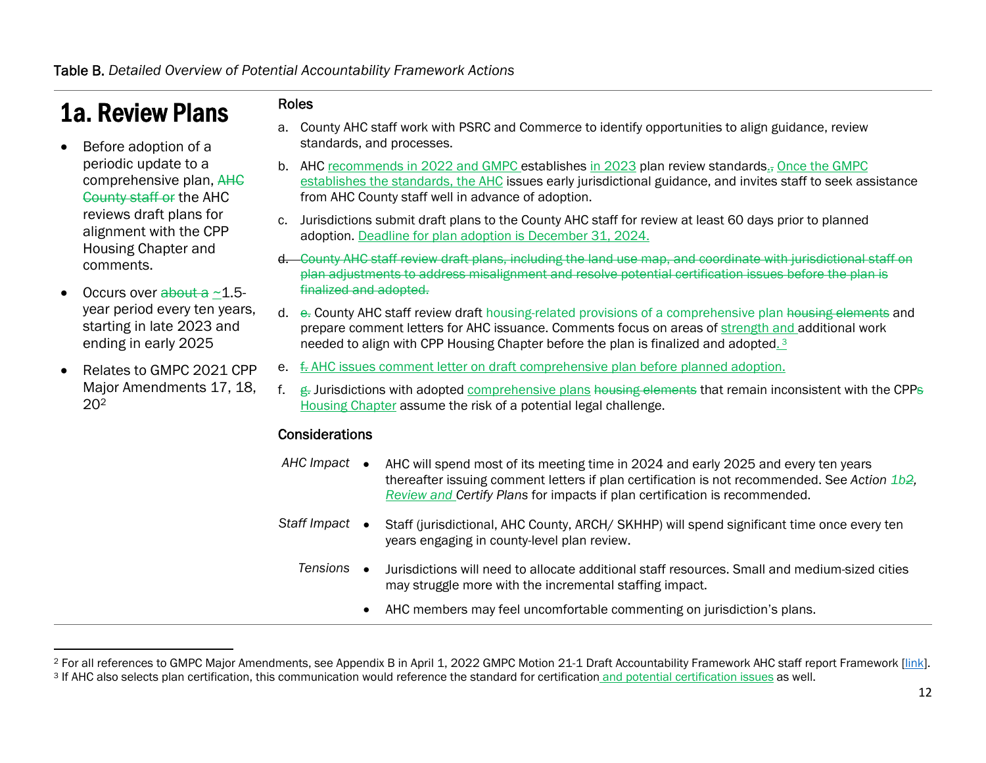## 1a. Review Plans

- 0 Before adoption of a periodic update to a comprehensive plan, AHC County staff or the AHC reviews draft plans for alignment with the CPP Housing Chapter and comments.
- 0 Occurs over  $\frac{1}{2}$  about a  $\sim$  1.5year period every ten years, starting in late 2023 and ending in early 2025
- 0 Relates to GMPC 2021 CPP Major Amendments 17, 18, 202

#### Roles

- a. County AHC staff work with PSRC and Commerce to identify opportunities to align guidance, review standards, and processes.
- b. AHC <u>recommends in 2022 and GMPC e</u>stablishes <u>in 2023</u> plan review standards.<sub>5</sub> <u>Once the GMPC</u> establishes the standards, the AHC issues early jurisdictional guidance, and invites staff to seek assistance from AHC County staff well in advance of adoption.
- c. Jurisdictions submit draft plans to the County AHC staff for review at least 60 days prior to planned adoption. Deadline for plan adoption is December 31, 2024.
- **d.** County AHC staff review draft plans, including the land use map, and coordinate with jurisdictional staff on plan adjustments to address misalignment and resolve potential certification issues before the plan is finalized and adopted.
- d. e. County AHC staff review draft housing-related provisions of a comprehensive plan <del>housing elements</del> and prepare comment letters for AHC issuance. Comments focus on areas of strength and additional work needed to align with CPP Housing Chapter before the plan is finalized and adopted. 3
- e. f. AHC issues comment letter on draft comprehensive plan before planned adoption.
- f.g. Jurisdictions with adopted comprehensive plans housing elements that remain inconsistent with the CPPs Housing Chapter assume the risk of a potential legal challenge.

#### **Considerations**

- AHC Impact AHC will spend most of its meeting time in 2024 and early 2025 and every ten years thereafter issuing comment letters if plan certification is not recommended. See *Action 1b2, Review and Certify Plans* for impacts if plan certification is recommended.
- Staff Impact Staff (jurisdictional, AHC County, ARCH/ SKHHP) will spend significant time once every ten years engaging in county-level plan review.
	- *Tensions*  Jurisdictions will need to allocate additional staff resources. Small and medium-sized cities may struggle more with the incremental staffing impact.
		- 0 AHC members may feel uncomfortable commenting on jurisdiction's plans.

<sup>&</sup>lt;sup>2</sup> For all references to GMPC Major Amendments, see Appendix B in April 1, 2022 GMPC Motion 21-1 Draft Accountability Framework AHC staff report Framework [link]. <sup>3</sup> If AHC also selects plan certification, this communication would reference the standard for certification and potential certification issues as well.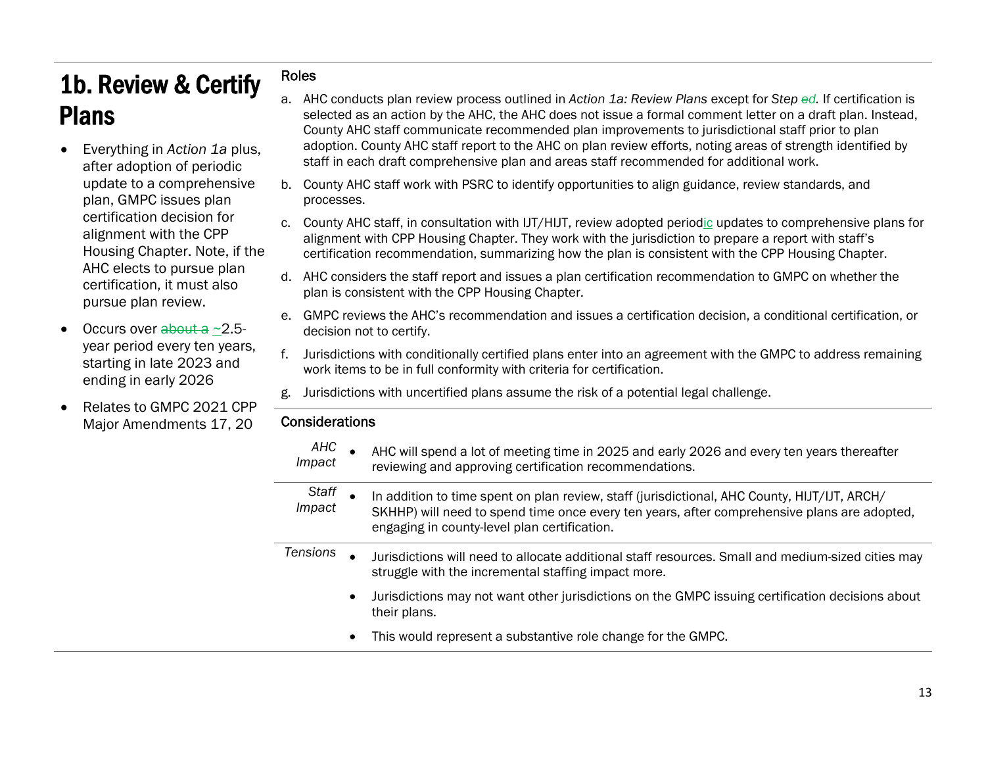## 1b. Review & Certify Plans

- 0 Everything in *Action 1a* plus, after adoption of periodic update to a comprehensive plan, GMPC issues plan certification decision for alignment with the CPP Housing Chapter. Note, if the AHC elects to pursue plan certification, it must also pursue plan review.
- 0 Occurs over <del>about a</del> ~2.5year period every ten years, starting in late 2023 and ending in early 2026
- 0 Relates to GMPC 2021 CPP Major Amendments 17, 20

#### Roles

- a. AHC conducts plan review process outlined in *Action 1a: Review Plans* except for *Step ed.* If certification is selected as an action by the AHC, the AHC does not issue a formal comment letter on a draft plan. Instead, County AHC staff communicate recommended plan improvements to jurisdictional staff prior to plan adoption. County AHC staff report to the AHC on plan review efforts, noting areas of strength identified by staff in each draft comprehensive plan and areas staff recommended for additional work.
- b. County AHC staff work with PSRC to identify opportunities to align guidance, review standards, and processes.
- c. County AHC staff, in consultation with IJT/HIJT, review adopted period<u>ic</u> updates to comprehensive plans for alignment with CPP Housing Chapter. They work with the jurisdiction to prepare a report with staff's certification recommendation, summarizing how the plan is consistent with the CPP Housing Chapter.
- d. AHC considers the staff report and issues a plan certification recommendation to GMPC on whether the plan is consistent with the CPP Housing Chapter.
- e. GMPC reviews the AHC's recommendation and issues a certification decision, a conditional certification, or decision not to certify.
- f. Jurisdictions with conditionally certified plans enter into an agreement with the GMPC to address remaining work items to be in full conformity with criteria for certification.
- g. Jurisdictions with uncertified plans assume the risk of a potential legal challenge.

#### Considerations

| AHC<br>Impact   | AHC will spend a lot of meeting time in 2025 and early 2026 and every ten years thereafter<br>reviewing and approving certification recommendations.                                                                                        |
|-----------------|---------------------------------------------------------------------------------------------------------------------------------------------------------------------------------------------------------------------------------------------|
| Staff<br>Impact | In addition to time spent on plan review, staff (jurisdictional, AHC County, HIJT/IJT, ARCH/<br>SKHHP) will need to spend time once every ten years, after comprehensive plans are adopted,<br>engaging in county-level plan certification. |
| <b>Tensions</b> | Jurisdictions will need to allocate additional staff resources. Small and medium-sized cities may<br>struggle with the incremental staffing impact more.                                                                                    |
|                 | Jurisdictions may not want other jurisdictions on the GMPC issuing certification decisions about<br>their plans.                                                                                                                            |
|                 | This would represent a substantive role change for the GMPC.                                                                                                                                                                                |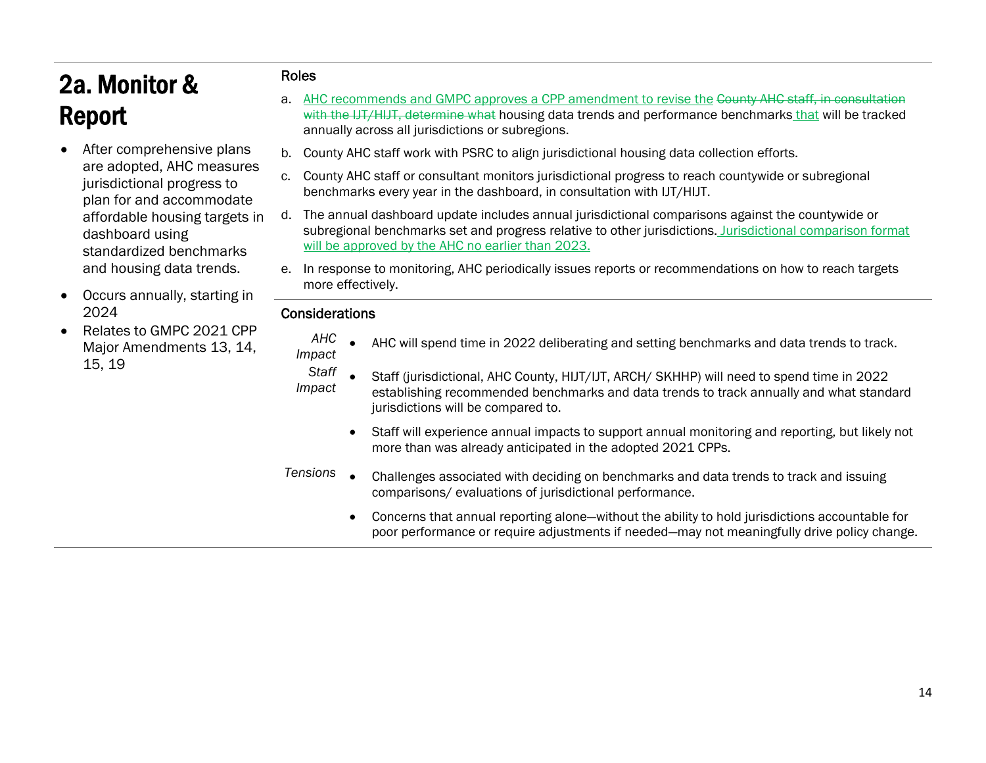# 2a. Monitor & Report

- 0 After comprehensive plans are adopted, AHC measures jurisdictional progress to plan for and accommodate affordable housing targets in dashboard using standardized benchmarks and housing data trends.
- $\bullet$  Occurs annually, starting in 2024
- 0 Relates to GMPC 2021 CPP Major Amendments 13, 14, 15, 19

#### Roles

- a. AHC recommends and GMPC approves a CPP amendment to revise the County AHC staff, in consultation with the IJT/HIJT, determine what housing data trends and performance benchmarks that will be tracked annually across all jurisdictions or subregions.
- b. County AHC staff work with PSRC to align jurisdictional housing data collection efforts.
- c. County AHC staff or consultant monitors jurisdictional progress to reach countywide or subregional benchmarks every year in the dashboard, in consultation with IJT/HIJT.
- d. The annual dashboard update includes annual jurisdictional comparisons against the countywide or subregional benchmarks set and progress relative to other jurisdictions. Jurisdictional comparison format will be approved by the AHC no earlier than 2023.
- e. In response to monitoring, AHC periodically issues reports or recommendations on how to reach targets more effectively.

#### **Considerations**

- *AHC Impact*  AHC will spend time in 2022 deliberating and setting benchmarks and data trends to track.
- *Staff* IMP 3THT • Staff (jurisdictional, AHC County, HIJT/IJT, ARCH/ SKHHP) will need to spend time in 2022<br>Impact establishing recommended benchmarks and data trends to track annually and what standard jurisdictions will be compared to.
	- $\bullet$  Staff will experience annual impacts to support annual monitoring and reporting, but likely not more than was already anticipated in the adopted 2021 CPPs.
- *Tensions*  Challenges associated with deciding on benchmarks and data trends to track and issuing comparisons/ evaluations of jurisdictional performance.
	- $\bullet$  Concerns that annual reporting alone—without the ability to hold jurisdictions accountable for poor performance or require adjustments if needed—may not meaningfully drive policy change.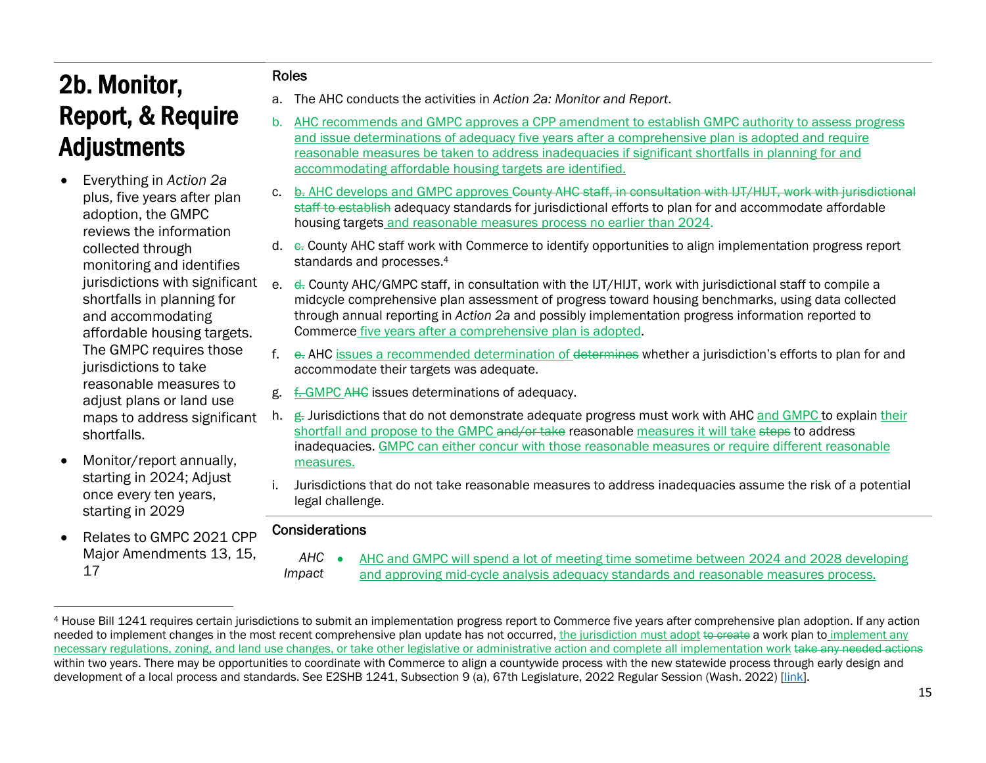## 2b. Monitor, Report, & Require Adjustments

- 0 Everything in *Action 2a* plus, five years after plan adoption, the GMPC reviews the information collected through monitoring and identifies jurisdictions with significant shortfalls in planning for and accommodating affordable housing targets. The GMPC requires those jurisdictions to take reasonable measures to adjust plans or land use maps to address significant shortfalls.
- 0 Monitor/report annually, starting in 2024; Adjust once every ten years, starting in 2029
- 0 Relates to GMPC 2021 CPP Major Amendments 13, 15, 17

#### Roles

- a. The AHC conducts the activities in *Action 2a: Monitor and Report*.
- b. AHC recommends and GMPC approves a CPP amendment to establish GMPC authority to assess progress and issue determinations of adequacy five years after a comprehensive plan is adopted and require reasonable measures be taken to address inadequacies if significant shortfalls in planning for and accommodating affordable housing targets are identified.
- c. <u>b. AHC develops and GMPC approves <del>County AHC staff, in consultation with IJT/HIJT, work with jurisdictional</del></u> staff to establish adequacy standards for jurisdictional efforts to plan for and accommodate affordable housing targets and reasonable measures process no earlier than 2024.
- d.  $\rm e$ . County AHC staff work with Commerce to identify opportunities to align implementation progress report standards and processes.4
- e. <del>d.</del> County AHC/GMPC staff, in consultation with the IJT/HIJT, work with jurisdictional staff to compile a midcycle comprehensive plan assessment of progress toward housing benchmarks, using data collected through annual reporting in *Action 2a* and possibly implementation progress information reported to Commerce five years after a comprehensive plan is adopted.
- f. e. AHC issues a recommended determination of determines whether a jurisdiction's efforts to plan for and accommodate their targets was adequate.
- g. f. GMPC AHC issues determinations of adequacy.
- h. ∉. Jurisdictions that do not demonstrate adequate progress must work with AHC <u>and GMPC t</u>o explain <u>their</u> shortfall and propose to the GMPC and/or take reasonable measures it will take steps to address inadequacies. GMPC can either concur with those reasonable measures or require different reasonable measures.
- i. Jurisdictions that do not take reasonable measures to address inadequacies assume the risk of a potential legal challenge.

#### **Considerations**

*AHC Impact*  AHC and GMPC will spend a lot of meeting time sometime between 2024 and 2028 developing and approving mid-cycle analysis adequacy standards and reasonable measures process.

<sup>4</sup> House Bill 1241 requires certain jurisdictions to submit an implementation progress report to Commerce five years after comprehensive plan adoption. If any action needed to implement changes in the most recent comprehensive plan update has not occurred, the jurisdiction must adopt to create a work plan to implement any necessary regulations, zoning, and land use changes, or take other legislative or administrative action and complete all implementation work take any needed actions within two years. There may be opportunities to coordinate with Commerce to align a countywide process with the new statewide process through early design and development of a local process and standards. See E2SHB 1241, Subsection 9 (a), 67th Legislature, 2022 Regular Session (Wash. 2022) [link].